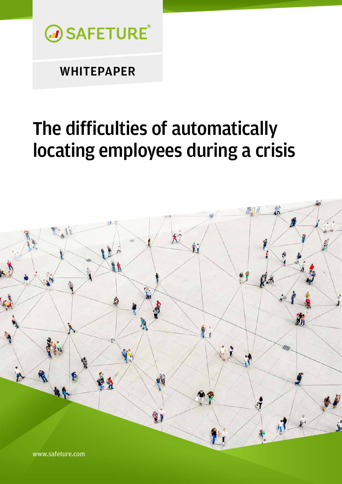

# The difficulties of automatically locating employees during a crisis

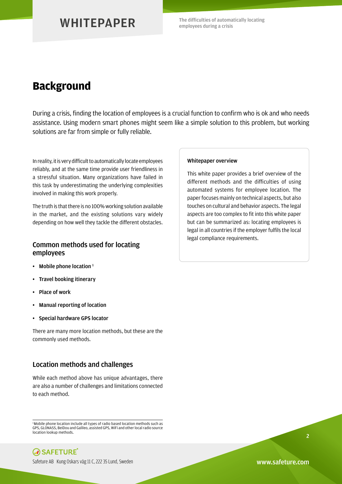The difficulties of automatically locating employees during a crisis

### **Background**

During a crisis, finding the location of employees is a crucial function to confirm who is ok and who needs assistance. Using modern smart phones might seem like a simple solution to this problem, but working solutions are far from simple or fully reliable.

In reality, it is very difficult to automatically locate employees reliably, and at the same time provide user friendliness in a stressful situation. Many organizations have failed in this task by underestimating the underlying complexities involved in making this work properly.

The truth is that there is no 100% working solution available in the market, and the existing solutions vary widely depending on how well they tackle the different obstacles.

### Common methods used for locating employees

- Mobile phone location $<sup>1</sup>$ </sup>
- Travel booking itinerary
- Place of work
- Manual reporting of location
- Special hardware GPS locator

There are many more location methods, but these are the commonly used methods.

### Location methods and challenges

While each method above has unique advantages, there are also a number of challenges and limitations connected to each method.

<sup>&</sup>lt;sup>1</sup> Mobile phone location include all types of radio based location methods such as GPS, GLONASS, BeiDou and Galileo, assisted GPS, WiFi and other local radio source location lookup methods.



#### Whitepaper overview

This white paper provides a brief overview of the different methods and the difficulties of using automated systems for employee location. The paper focuses mainly on technical aspects, but also touches on cultural and behavior aspects. The legal aspects are too complex to fit into this white paper but can be summarized as: locating employees is legal in all countries if the employer fulfils the local legal compliance requirements.

2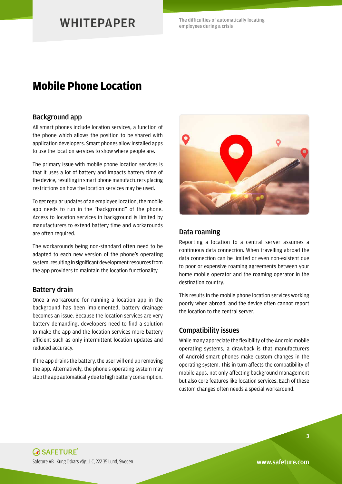The difficulties of automatically locating employees during a crisis

### **Mobile Phone Location**

#### Background app

All smart phones include location services, a function of the phone which allows the position to be shared with application developers. Smart phones allow installed apps to use the location services to show where people are.

The primary issue with mobile phone location services is that it uses a lot of battery and impacts battery time of the device, resulting in smart phone manufacturers placing restrictions on how the location services may be used.

To get regular updates of an employee location, the mobile app needs to run in the "background" of the phone. Access to location services in background is limited by manufacturers to extend battery time and workarounds are often required.

The workarounds being non-standard often need to be adapted to each new version of the phone's operating system, resulting in significant development resources from the app providers to maintain the location functionality.

#### Battery drain

Once a workaround for running a location app in the background has been implemented, battery drainage becomes an issue. Because the location services are very battery demanding, developers need to find a solution to make the app and the location services more battery efficient such as only intermittent location updates and reduced accuracy.

If the app drains the battery, the user will end up removing the app. Alternatively, the phone's operating system may stop the app automatically due to high battery consumption.



#### Data roaming

Reporting a location to a central server assumes a continuous data connection. When travelling abroad the data connection can be limited or even non-existent due to poor or expensive roaming agreements between your home mobile operator and the roaming operator in the destination country.

This results in the mobile phone location services working poorly when abroad, and the device often cannot report the location to the central server.

#### Compatibility issues

While many appreciate the flexibility of the Android mobile operating systems, a drawback is that manufacturers of Android smart phones make custom changes in the operating system. This in turn affects the compatibility of mobile apps, not only affecting background management but also core features like location services. Each of these custom changes often needs a special workaround.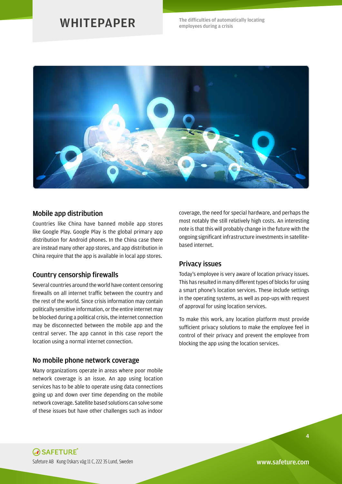The difficulties of automatically locating employees during a crisis



#### Mobile app distribution

Countries like China have banned mobile app stores like Google Play. Google Play is the global primary app distribution for Android phones. In the China case there are instead many other app stores, and app distribution in China require that the app is available in local app stores.

#### Country censorship firewalls

Several countries around the world have content censoring firewalls on all internet traffic between the country and the rest of the world. Since crisis information may contain politically sensitive information, or the entire internet may be blocked during a political crisis, the internet connection may be disconnected between the mobile app and the central server. The app cannot in this case report the location using a normal internet connection.

#### No mobile phone network coverage

Many organizations operate in areas where poor mobile network coverage is an issue. An app using location services has to be able to operate using data connections going up and down over time depending on the mobile network coverage. Satellite based solutions can solve some of these issues but have other challenges such as indoor

coverage, the need for special hardware, and perhaps the most notably the still relatively high costs. An interesting note is that this will probably change in the future with the ongoing significant infrastructure investments in satellitebased internet.

#### Privacy issues

Today's employee is very aware of location privacy issues. This has resulted in many different types of blocks for using a smart phone's location services. These include settings in the operating systems, as well as pop-ups with request of approval for using location services.

To make this work, any location platform must provide sufficient privacy solutions to make the employee feel in control of their privacy and prevent the employee from blocking the app using the location services.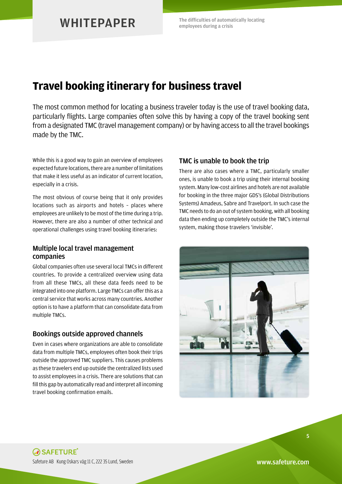The difficulties of automatically locating employees during a crisis

# **Travel booking itinerary for business travel**

The most common method for locating a business traveler today is the use of travel booking data, particularly flights. Large companies often solve this by having a copy of the travel booking sent from a designated TMC (travel management company) or by having access to all the travel bookings made by the TMC.

While this is a good way to gain an overview of employees expected future locations, there are a number of limitations that make it less useful as an indicator of current location, especially in a crisis.

The most obvious of course being that it only provides locations such as airports and hotels – places where employees are unlikely to be most of the time during a trip. However, there are also a number of other technical and operational challenges using travel booking itineraries:

### Multiple local travel management companies

Global companies often use several local TMCs in different countries. To provide a centralized overview using data from all these TMCs, all these data feeds need to be integrated into one platform. Large TMCs can offer this as a central service that works across many countries. Another option is to have a platform that can consolidate data from multiple TMCs.

### Bookings outside approved channels

Even in cases where organizations are able to consolidate data from multiple TMCs, employees often book their trips outside the approved TMC suppliers. This causes problems as these travelers end up outside the centralized lists used to assist employees in a crisis. There are solutions that can fill this gap by automatically read and interpret all incoming travel booking confirmation emails.

### TMC is unable to book the trip

There are also cases where a TMC, particularly smaller ones, is unable to book a trip using their internal booking system. Many low-cost airlines and hotels are not available for booking in the three major GDS's (Global Distributions Systems) Amadeus, Sabre and Travelport. In such case the TMC needs to do an out of system booking, with all booking data then ending up completely outside the TMC's internal system, making those travelers 'invisible'.

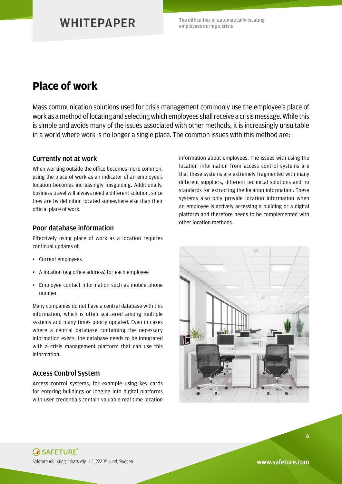The difficulties of automatically locating employees during a crisis

### **Place of work**

Mass communication solutions used for crisis management commonly use the employee's place of work as a method of locating and selecting which employees shall receive a crisis message. While this is simple and avoids many of the issues associated with other methods, it is increasingly unsuitable in a world where work is no longer a single place. The common issues with this method are:

### Currently not at work

When working outside the office becomes more common, using the place of work as an indicator of an employee's location becomes increasingly misguiding. Additionally, business travel will always need a different solution, since they are by definition located somewhere else than their official place of work.

### Poor database information

Effectively using place of work as a location requires continual updates of:

- Current employees
- A location (e.g office address) for each employee
- Employee contact information such as mobile phone number

Many companies do not have a central database with this information, which is often scattered among multiple systems and many times poorly updated. Even in cases where a central database containing the necessary information exists, the database needs to be integrated with a crisis management platform that can use this information.

### Access Control System

Access control systems, for example using key cards for entering buildings or logging into digital platforms with user credentials contain valuable real time location information about employees. The issues with using the location information from access control systems are that these systems are extremely fragmented with many different suppliers, different technical solutions and no standards for extracting the location information. These systems also only provide location information when an employee is actively accessing a building or a digital platform and therefore needs to be complemented with other location methods.

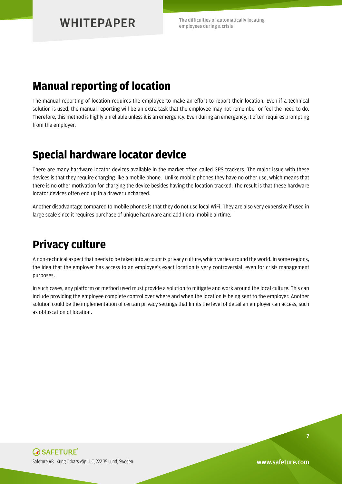The difficulties of automatically locating employees during a crisis

### **Manual reporting of location**

The manual reporting of location requires the employee to make an effort to report their location. Even if a technical solution is used, the manual reporting will be an extra task that the employee may not remember or feel the need to do. Therefore, this method is highly unreliable unless it is an emergency. Even during an emergency, it often requires prompting from the employer.

### **Special hardware locator device**

There are many hardware locator devices available in the market often called GPS trackers. The major issue with these devices is that they require charging like a mobile phone. Unlike mobile phones they have no other use, which means that there is no other motivation for charging the device besides having the location tracked. The result is that these hardware locator devices often end up in a drawer uncharged.

Another disadvantage compared to mobile phones is that they do not use local WiFi. They are also very expensive if used in large scale since it requires purchase of unique hardware and additional mobile airtime.

# **Privacy culture**

A non-technical aspect that needs to be taken into account is privacy culture, which varies around the world. In some regions, the idea that the employer has access to an employee's exact location is very controversial, even for crisis management purposes.

In such cases, any platform or method used must provide a solution to mitigate and work around the local culture. This can include providing the employee complete control over where and when the location is being sent to the employer. Another solution could be the implementation of certain privacy settings that limits the level of detail an employer can access, such as obfuscation of location.